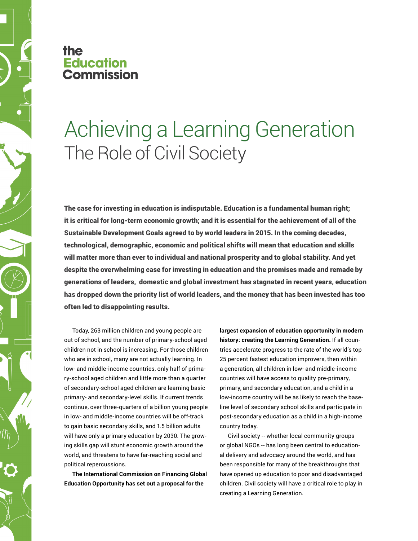## the **Education ommission**

## Achieving a Learning Generation The Role of Civil Society

The case for investing in education is indisputable. Education is a fundamental human right; it is critical for long-term economic growth; and it is essential for the achievement of all of the Sustainable Development Goals agreed to by world leaders in 2015. In the coming decades, technological, demographic, economic and political shifts will mean that education and skills will matter more than ever to individual and national prosperity and to global stability. And yet despite the overwhelming case for investing in education and the promises made and remade by generations of leaders, domestic and global investment has stagnated in recent years, education has dropped down the priority list of world leaders, and the money that has been invested has too often led to disappointing results.

Today, 263 million children and young people are out of school, and the number of primary-school aged children not in school is increasing. For those children who are in school, many are not actually learning. In low- and middle-income countries, only half of primary-school aged children and little more than a quarter of secondary-school aged children are learning basic primary- and secondary-level skills. If current trends continue, over three-quarters of a billion young people in low- and middle-income countries will be off-track to gain basic secondary skills, and 1.5 billion adults will have only a primary education by 2030. The growing skills gap will stunt economic growth around the world, and threatens to have far-reaching social and political repercussions.

**The International Commission on Financing Global Education Opportunity has set out a proposal for the** 

**largest expansion of education opportunity in modern history: creating the Learning Generation.** If all countries accelerate progress to the rate of the world's top 25 percent fastest education improvers, then within a generation, all children in low- and middle-income countries will have access to quality pre-primary, primary, and secondary education, and a child in a low-income country will be as likely to reach the baseline level of secondary school skills and participate in post-secondary education as a child in a high-income country today.

Civil society -- whether local community groups or global NGOs -- has long been central to educational delivery and advocacy around the world, and has been responsible for many of the breakthroughs that have opened up education to poor and disadvantaged children. Civil society will have a critical role to play in creating a Learning Generation.